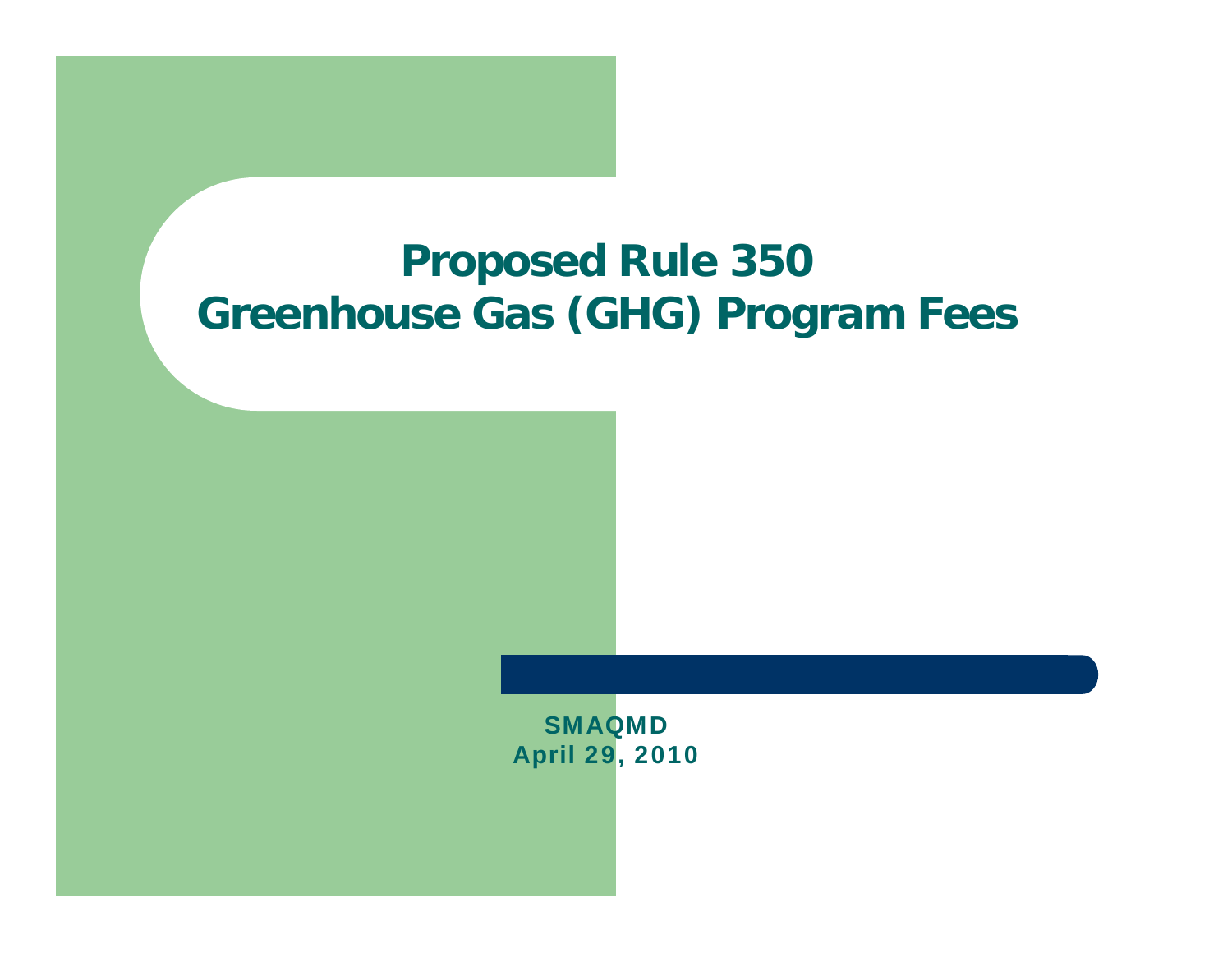#### **Proposed Rule 350 Greenhouse Gas (GHG) Program Fees**

SMAQMDApril 29, 2010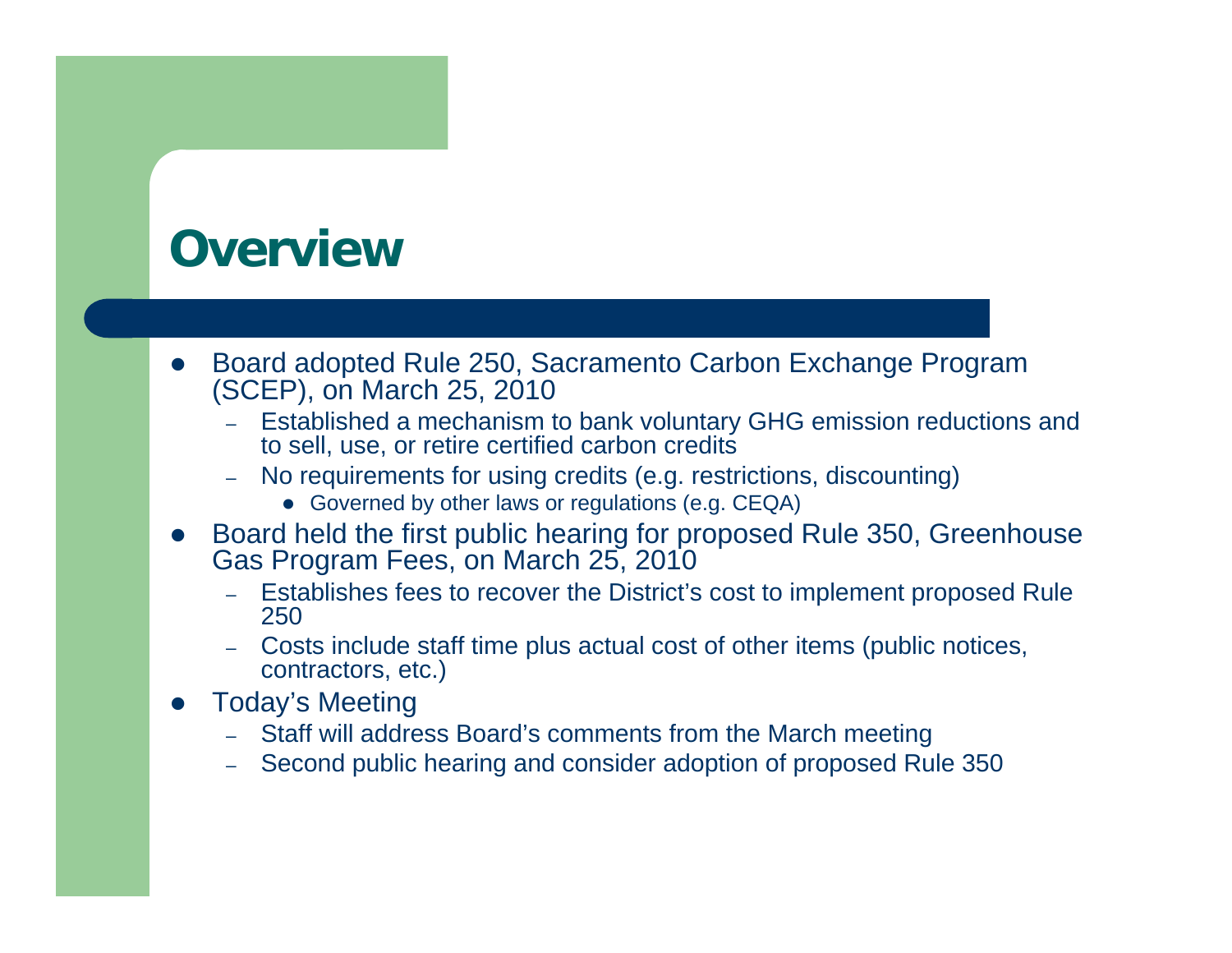#### **Overview**

- $\bullet$  Board adopted Rule 250, Sacramento Carbon Exchange Program (SCEP), on March 25, 2010
	- – Established a mechanism to bank voluntary GHG emission reductions and to sell, use, or retire certified carbon credits
	- – No requirements for using credits (e.g. restrictions, discounting)
		- Governed by other laws or regulations (e.g. CEQA)
- $\bullet$  Board held the first public hearing for proposed Rule 350, Greenhouse Gas Program Fees, on March 25, 2010
	- – Establishes fees to recover the District's cost to implement proposed Rule 250
	- – Costs include staff time plus actual cost of other items (public notices, contractors, etc.)
- $\bullet$  Today's Meeting
	- Staff will address Board's comments from the March meeting
	- –Second public hearing and consider adoption of proposed Rule 350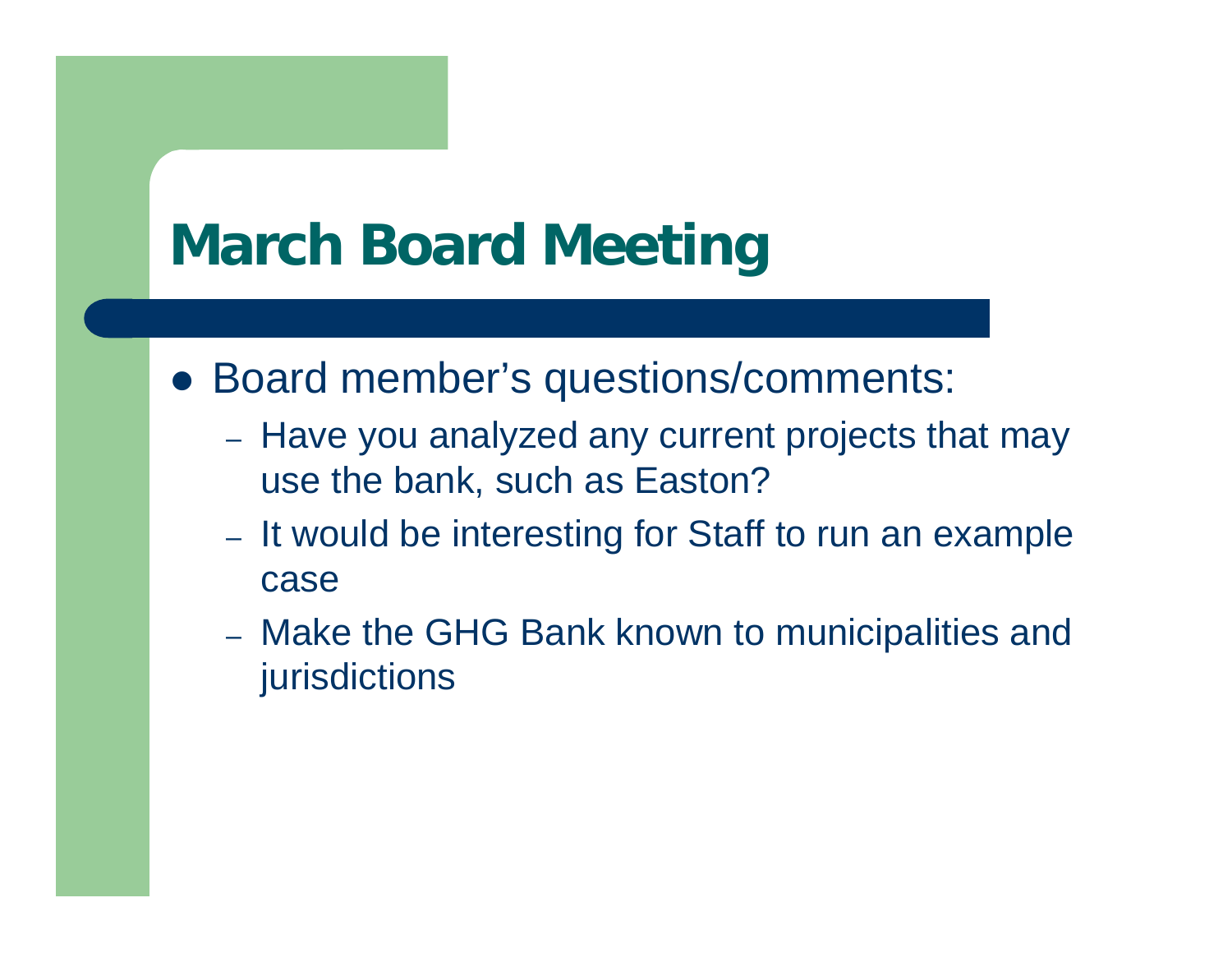# **March Board Meeting**

- Board member's questions/comments:
	- Have you analyzed any current projects that may use the bank, such as Easton?
	- It would be interesting for Staff to run an example case
	- Make the GHG Bank known to municipalities and jurisdictions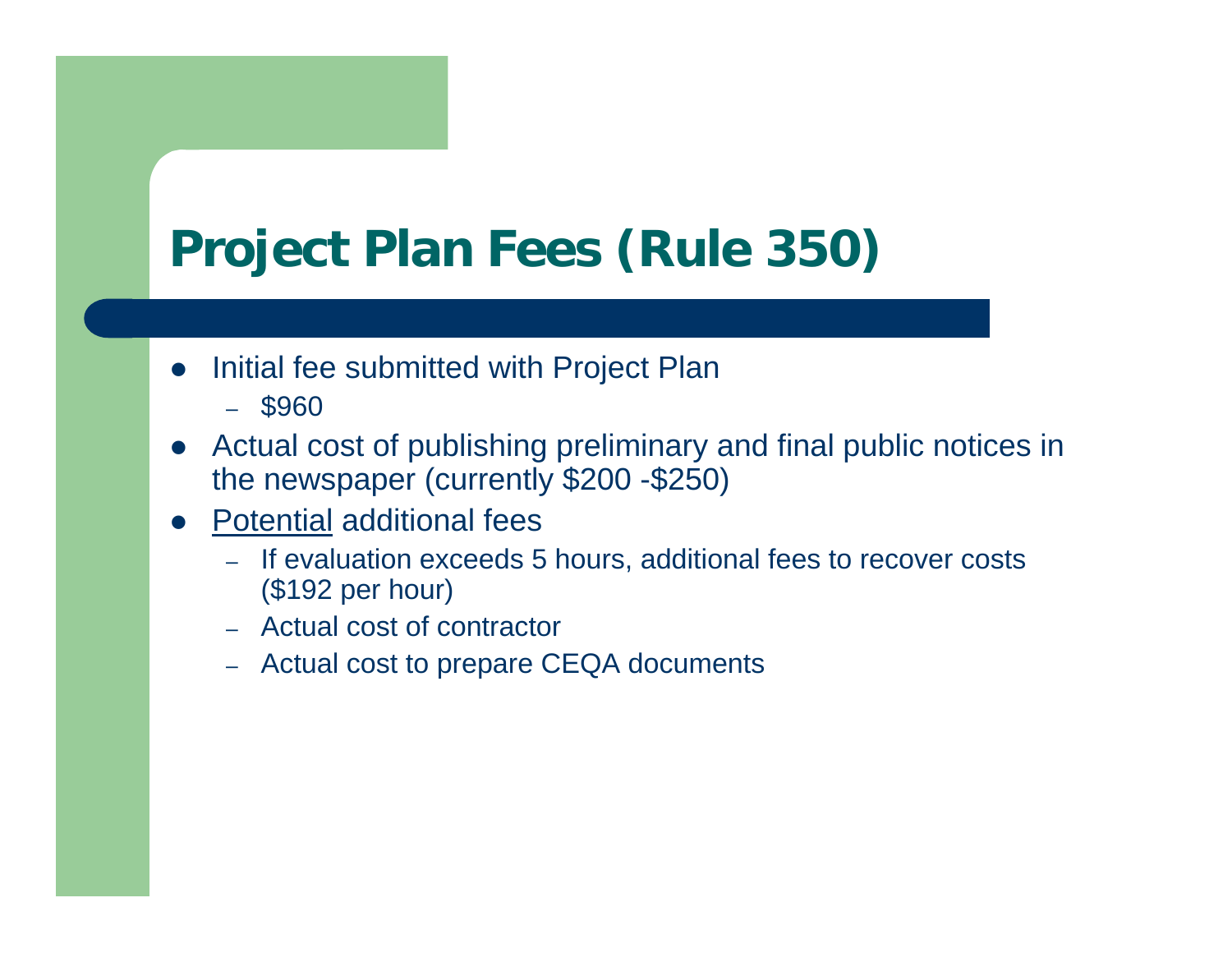## **Project Plan Fees (Rule 350)**

- $\bullet$  Initial fee submitted with Project Plan
	- \$960
- $\bullet$  Actual cost of publishing preliminary and final public notices in the newspaper (currently \$200 -\$250)
- $\bullet$  Potential additional fees
	- If evaluation exceeds 5 hours, additional fees to recover costs (\$192 per hour)
	- Actual cost of contractor
	- Actual cost to prepare CEQA documents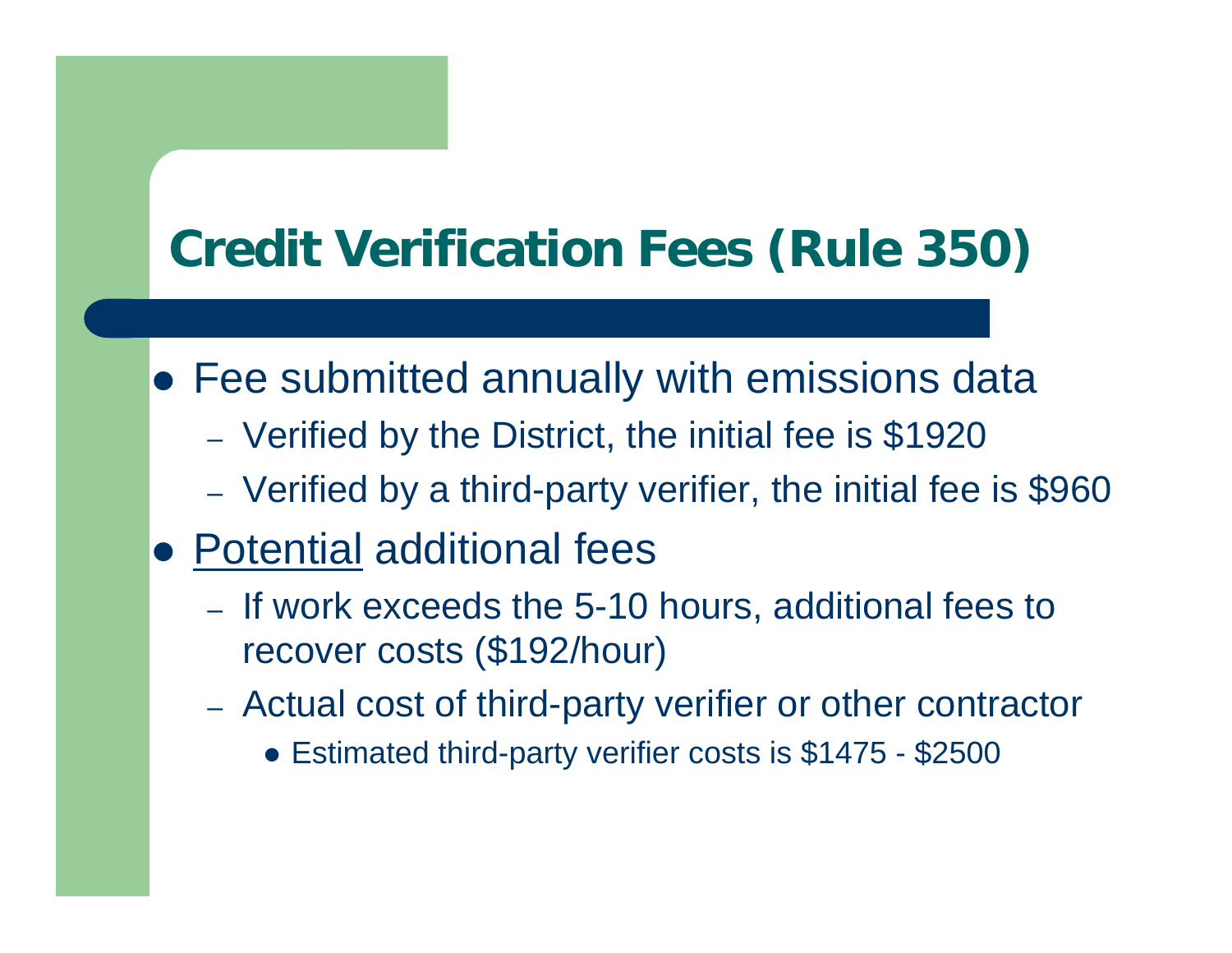## **Credit Verification Fees (Rule 350)**

- Fee submitted annually with emissions data
	- Verified by the District, the initial fee is \$1920
	- Verified by a third-party verifier, the initial fee is \$960
- Potential additional fees
	- If work exceeds the 5-10 hours, additional fees to recover costs (\$192/hour)
	- Actual cost of third-party verifier or other contractor
		- Estimated third-party verifier costs is \$1475 \$2500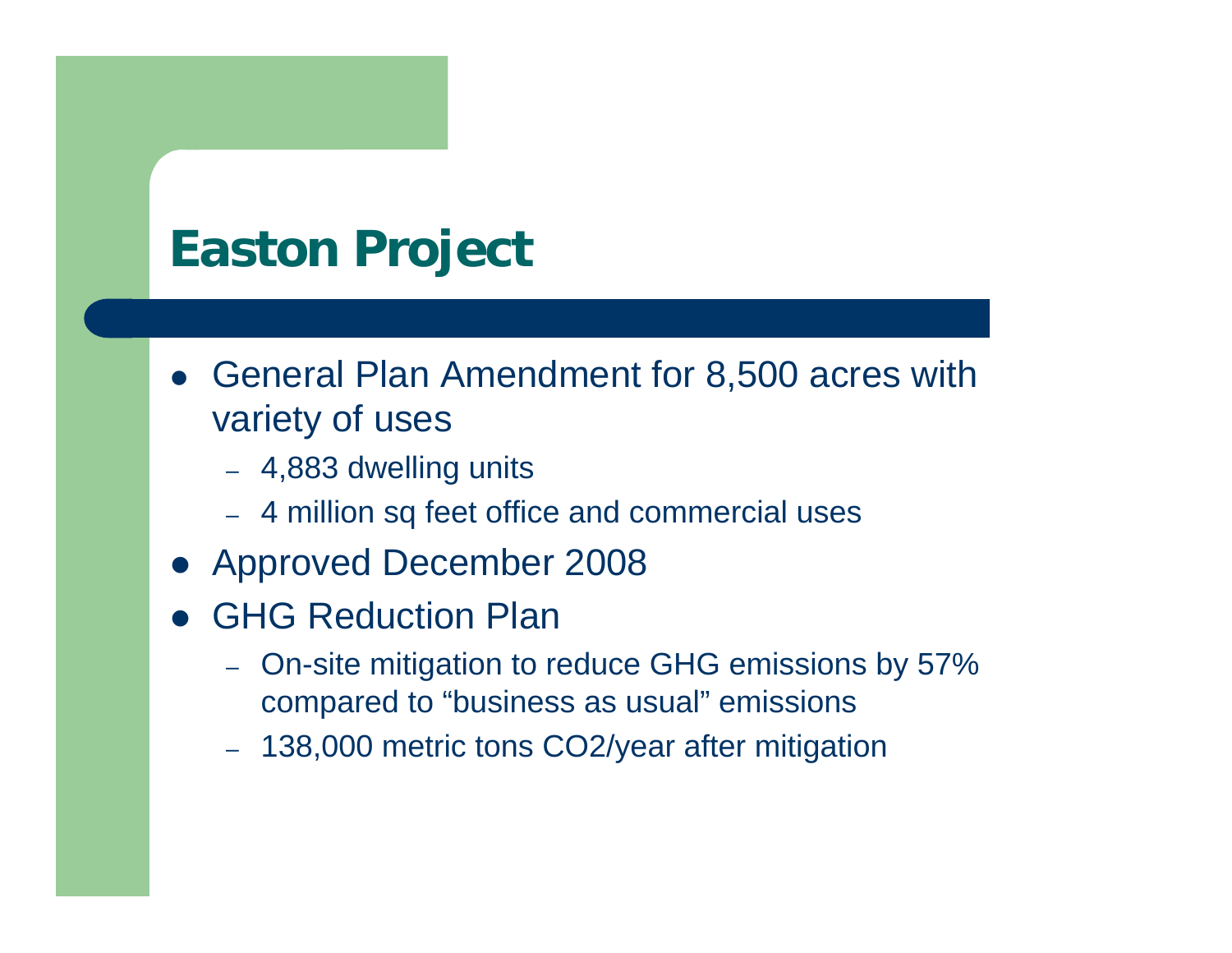### **Easton Project**

- General Plan Amendment for 8,500 acres with variety of uses
	- 4,883 dwelling units
	- 4 million sq feet office and commercial uses
- Approved December 2008
- **GHG Reduction Plan** 
	- On-site mitigation to reduce GHG emissions by 57% compared to "business as usual" emissions
	- 138,000 metric tons CO2/year after mitigation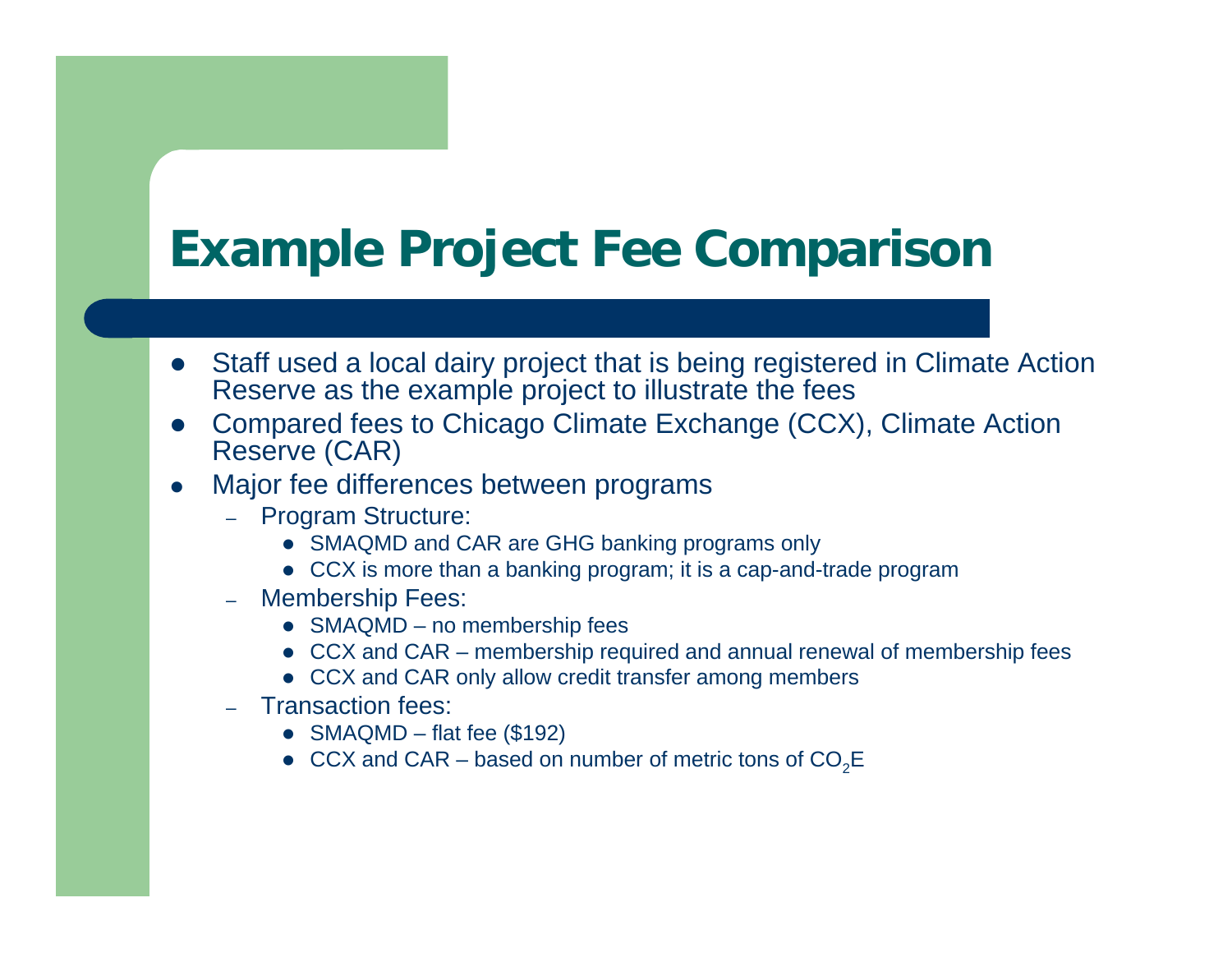### **Example Project Fee Comparison**

- Staff used a local dairy project that is being registered in Climate Action Reserve as the example project to illustrate the fees
- $\bullet$  Compared fees to Chicago Climate Exchange (CCX), Climate Action Reserve (CAR)
- 0 Major fee differences between programs
	- Program Structure:
		- SMAQMD and CAR are GHG banking programs only
		- CCX is more than a banking program; it is a cap-and-trade program
	- Membership Fees:
		- SMAQMD no membership fees
		- CCX and CAR membership required and annual renewal of membership fees
		- CCX and CAR only allow credit transfer among members
	- Transaction fees:
		- SMAQMD flat fee (\$192)
		- CCX and CAR based on number of metric tons of  $CO_2E$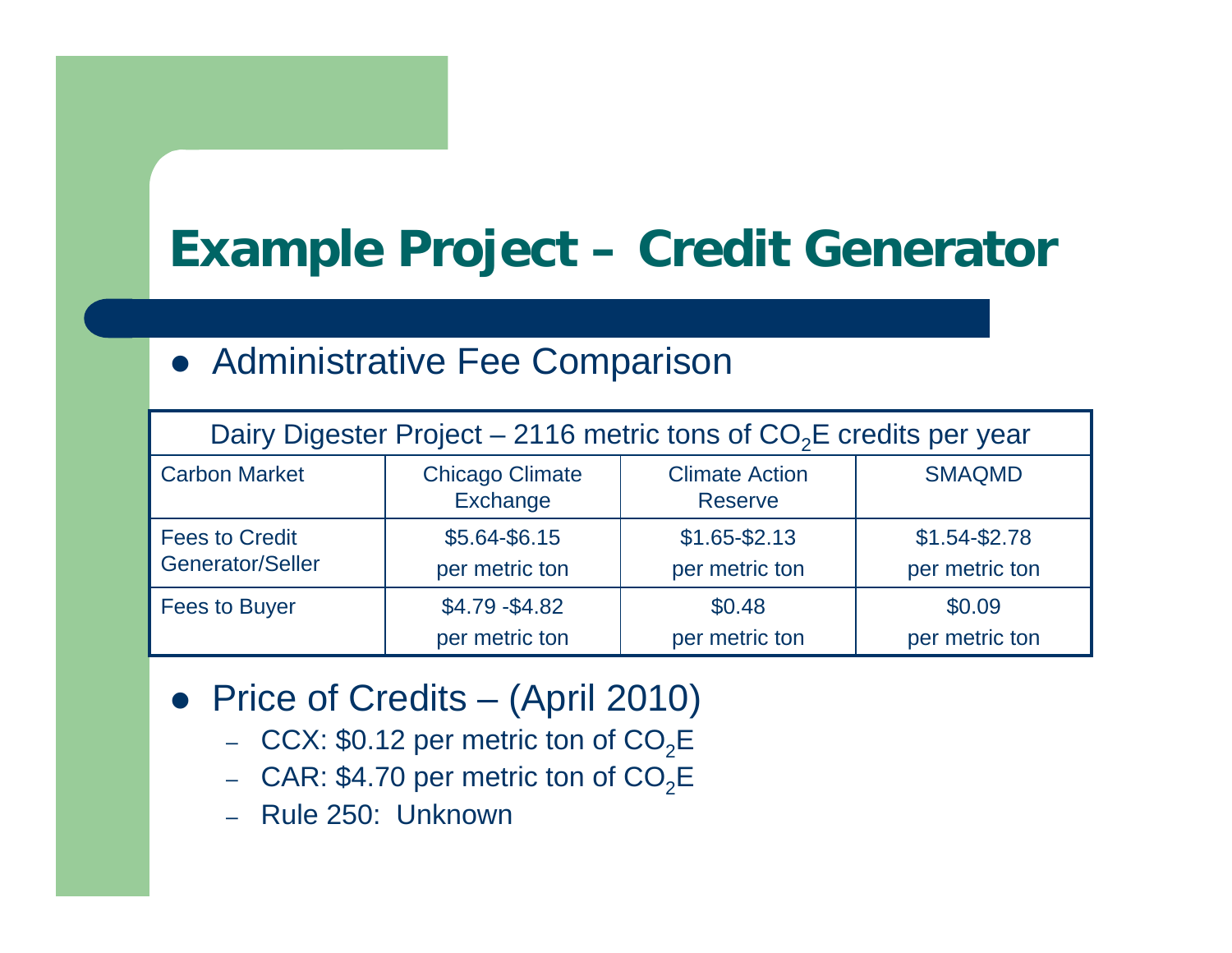## **Example Project – Credit Generator**

#### **• Administrative Fee Comparison**

| Dairy Digester Project – 2116 metric tons of $CO2E$ credits per year |                                    |                                         |                                 |  |
|----------------------------------------------------------------------|------------------------------------|-----------------------------------------|---------------------------------|--|
| <b>Carbon Market</b>                                                 | <b>Chicago Climate</b><br>Exchange | <b>Climate Action</b><br><b>Reserve</b> | <b>SMAQMD</b>                   |  |
| <b>Fees to Credit</b><br>Generator/Seller                            | \$5.64-\$6.15<br>per metric ton    | $$1.65 - $2.13$<br>per metric ton       | $$1.54-S2.78$<br>per metric ton |  |
|                                                                      |                                    |                                         |                                 |  |
| <b>Fees to Buyer</b>                                                 | $$4.79 - $4.82$                    | \$0.48                                  | \$0.09                          |  |
|                                                                      | per metric ton                     | per metric ton                          | per metric ton                  |  |

- Price of Credits (April 2010)
	- $\,$  CCX: \$0.12 per metric ton of CO $_{2}$ E  $\,$
	- $\,$  CAR: \$4.70 per metric ton of CO $_2$ E  $\,$
	- –Rule 250: Unknown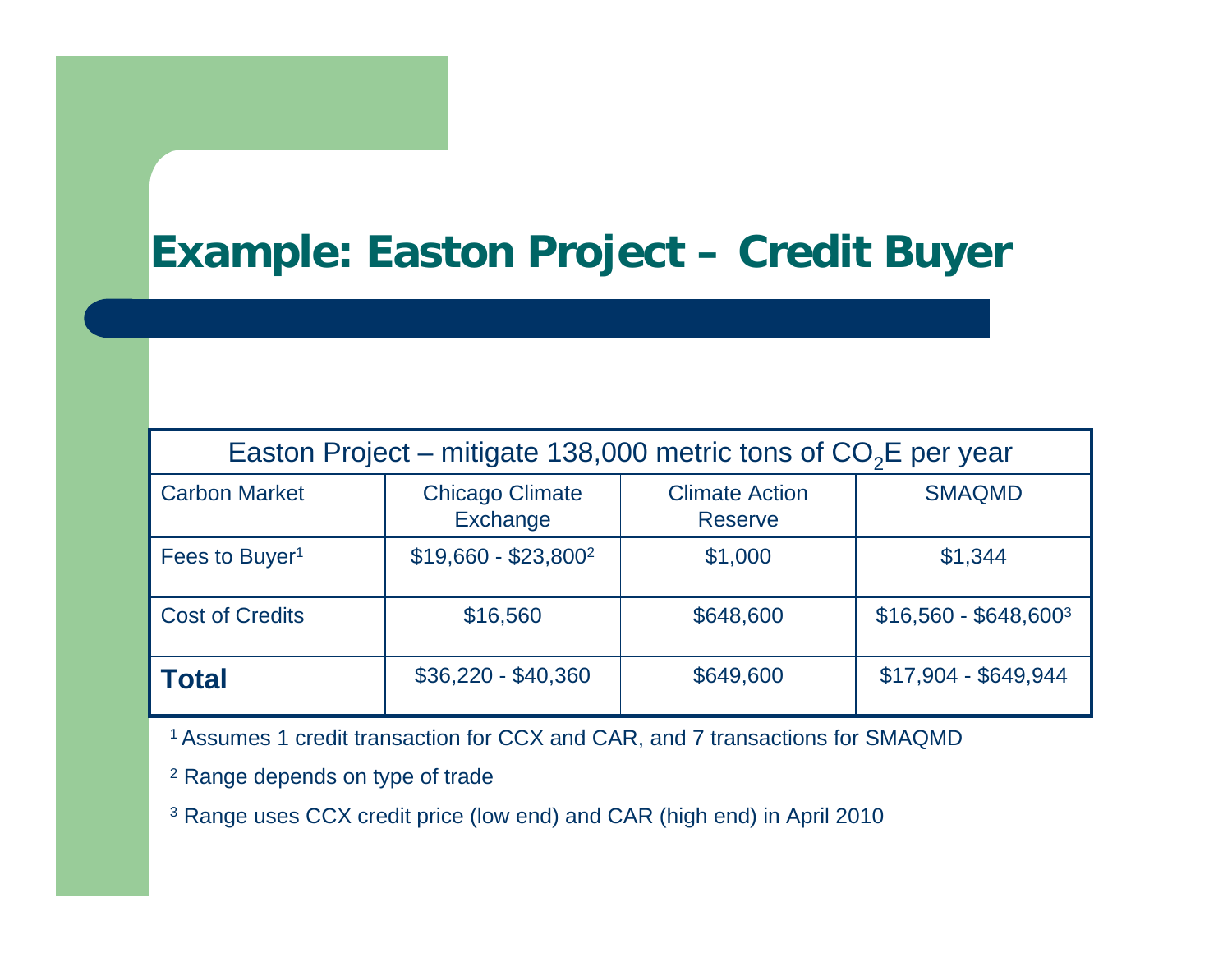#### **Example: Easton Project – Credit Buyer**

| Easton Project – mitigate 138,000 metric tons of $CO2E$ per year |                                    |                                         |                        |  |  |
|------------------------------------------------------------------|------------------------------------|-----------------------------------------|------------------------|--|--|
| <b>Carbon Market</b>                                             | <b>Chicago Climate</b><br>Exchange | <b>Climate Action</b><br><b>Reserve</b> | <b>SMAQMD</b>          |  |  |
| Fees to Buyer <sup>1</sup>                                       | $$19,660 - $23,800^2$              | \$1,000                                 | \$1,344                |  |  |
| <b>Cost of Credits</b>                                           | \$16,560                           | \$648,600                               | $$16,560 - $648,600^3$ |  |  |
| <b>Total</b>                                                     | $$36,220 - $40,360$                | \$649,600                               | \$17,904 - \$649,944   |  |  |

1 Assumes 1 credit transaction for CCX and CAR, and 7 transactions for SMAQMD

- $^2$  Range depends on type of trade
- $^3$  Range uses CCX credit price (low end) and CAR (high end) in April 2010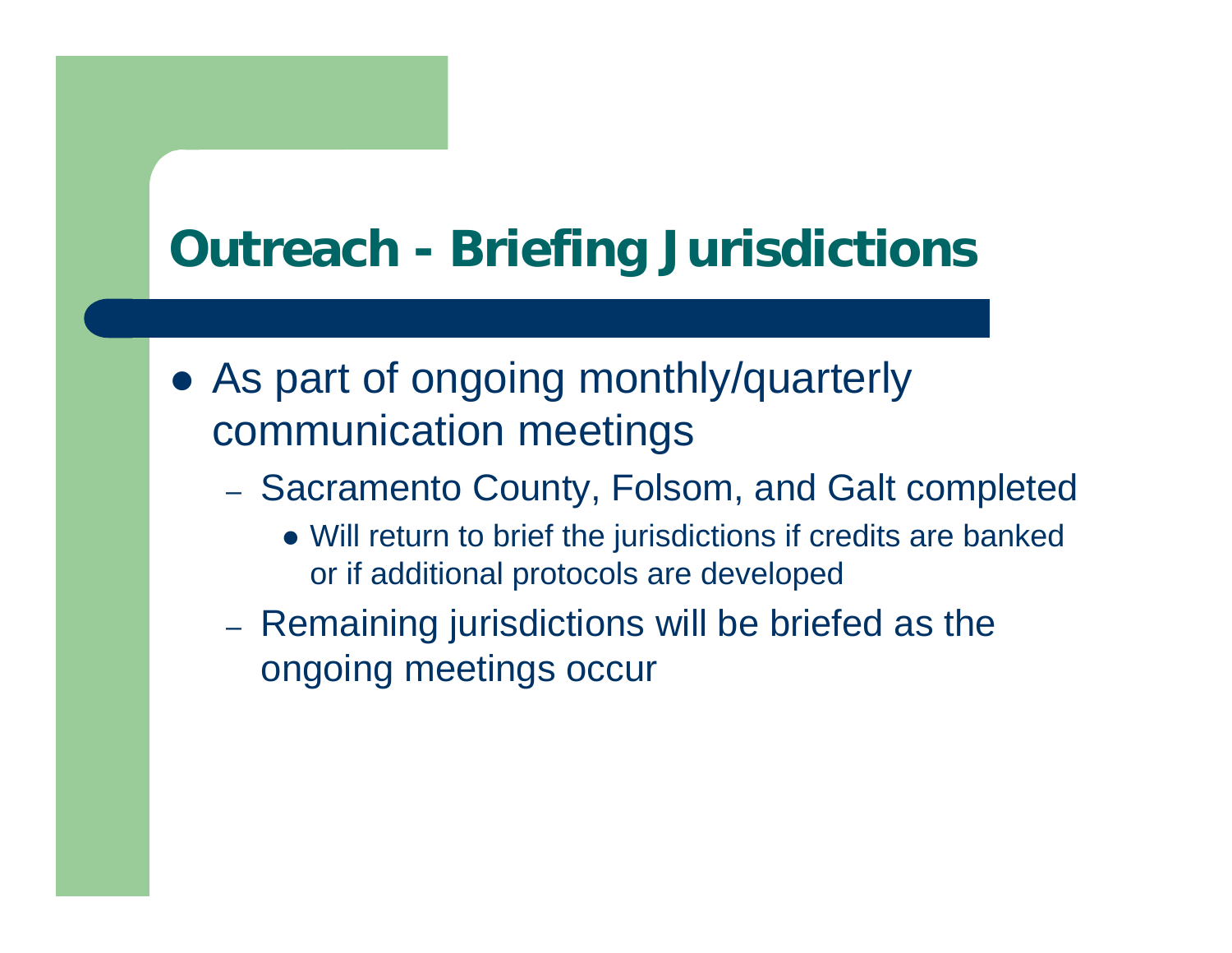#### **Outreach - Briefing Jurisdictions**

- As part of ongoing monthly/quarterly communication meetings
	- Sacramento County, Folsom, and Galt completed
		- Will return to brief the jurisdictions if credits are banked or if additional protocols are developed
	- Remaining jurisdictions will be briefed as the ongoing meetings occur